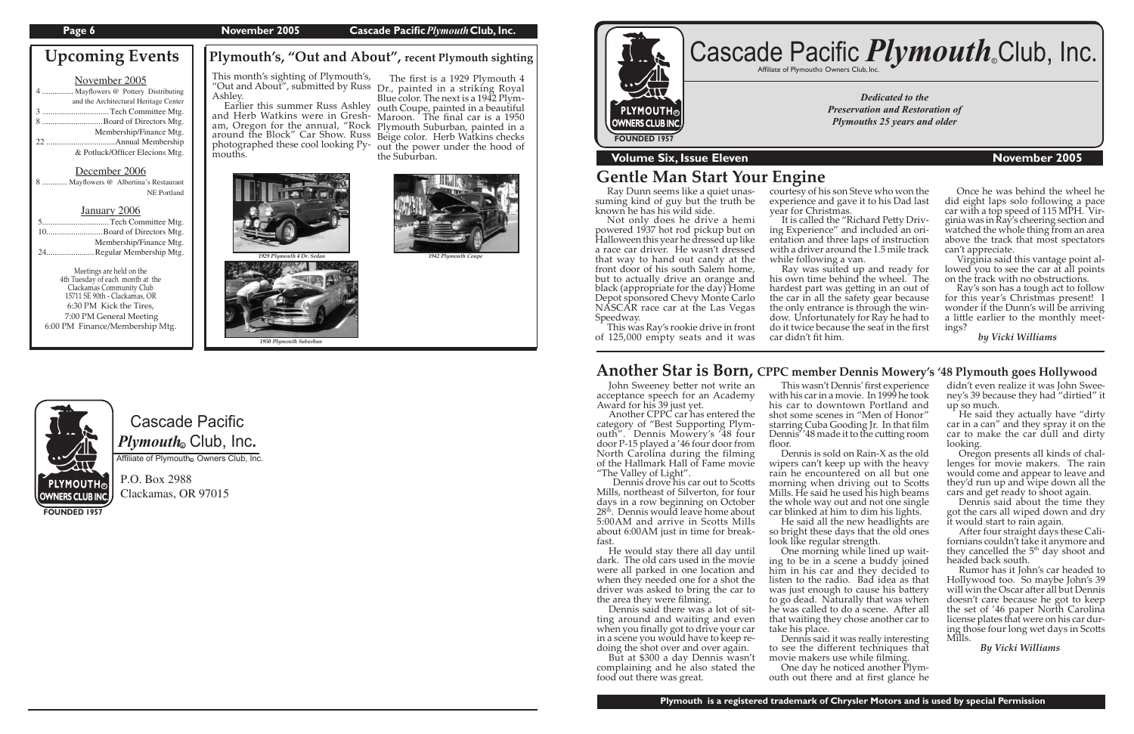#### **Page 6** November 2005 **Cascade Pacific** *Plymouth* Club, Inc.

# Cascade Pacific  $\boldsymbol{P} \boldsymbol{l}$ y*mouth*. Club, Inc.

Affiliate of Plymouth Owners Club, Inc.

P.O. Box 2988 Clackamas, OR 97015

**FOUNDED 1957**

*Dedicated to the Preservation and Restoration of Plymouths 25 years and older*



### **Volume Six, Issue Eleven November 2005**

# Cascade Pacific *Plymouth*.Club, Inc.

**Plymouth's, "Out and About", recent Plymouth sighting**

| November 2005                         |
|---------------------------------------|
| 4  Mayflowers @ Pottery Distributing  |
| and the Architectural Heritage Center |
|                                       |
|                                       |
| Membership/Finance Mtg.               |
|                                       |
| & Potluck/Officer Elecions Mtg.       |

Meetings are held on the<br>4th Tuesday of each month at the Clackamas Community Club 15711 SE 90th - Clackamas, OR 6:30 PM Kick the Tires, 7:00 PM General Meeting 6:00 PM Finance/Membership Mtg.

#### December 2006

|  | 8  Mayflowers @ Albertina's Restaurant |                    |
|--|----------------------------------------|--------------------|
|  |                                        | <b>NE</b> Portland |

#### January 2006

| 5Tech Committee Mtg.      |
|---------------------------|
| 10Board of Directors Mtg. |
| Membership/Finance Mtg.   |
| 24Regular Membership Mtg. |

Ray was suited up and ready for his own time behind the wheel. The hardest part was getting in an out of the car in all the safety gear because the only entrance is through the window. Unfortunately for Ray he had to do it twice because the seat in the first car didn't fit him.



John Sweeney better not write an acceptance speech for an Academy Award for his 39 just yet.

# **Upcoming Events**

 Ray Dunn seems like a quiet unassuming kind of guy but the truth be known he has his wild side.

Dennis drove his car out to Scotts Mills, northeast of Silverton, for four days in a row beginning on October 28<sup>th</sup>. Dennis would leave home about 5:00AM and arrive in Scotts Mills about 6:00AM just in time for breakfast.

 Not only does he drive a hemi powered 1937 hot rod pickup but on Halloween this year he dressed up like a race car driver. He wasn't dressed that way to hand out candy at the front door of his south Salem home, but to actually drive an orange and black (appropriate for the day) Home Depot sponsored Chevy Monte Carlo NASCAR race car at the Las Vegas Speedway.

 This was Ray's rookie drive in front of 125,000 empty seats and it was courtesy of his son Steve who won the experience and gave it to his Dad last

It is called the "Richard Petty Driving Experience" and included an orientation and three laps of instruction with a driver around the 1.5 mile track

year for Christmas.

while following a van.

One day he noticed another Plymouth out there and at first glance he

# **Gentle Man Start Your Engine**

# **Another Star is Born, CPPC member Dennis Mowery's '48 Plymouth goes Hollywood**

 Another CPPC car has entered the category of "Best Supporting Plymouth". Dennis Mowery's '48 four door P-15 played a '46 four door from North Carolina during the filming of the Hallmark Hall of Fame movie "The Valley of Light".

Ashley.<br>Earlier this summer Russ Ashley Earlier this summer Russ Ashley and Herb Watkins were in Gresham, Oregon for the annual, "Rock Plymouth Suburban, painted in a around the Block" Car Show. Russ Beige color. Herb Watkins checks photographed these cool looking Py-out the power under the hood of mouths.

> He would stay there all day until dark. The old cars used in the movie were all parked in one location and when they needed one for a shot the driver was asked to bring the car to

> the area they were filming.<br>Dennis said there was a lot of sitting around and waiting and even when you finally got to drive your car<br>in a scene you would have to keep redoing the shot over and over again.

> But at \$300 a day Dennis wasn't complaining and he also stated the food out there was great.

 This wasn't Dennis' first experience with his car in a movie. In 1999 he took his car to downtown Portland and shot some scenes in "Men of Honor" starring Cuba Gooding Jr. In that film Dennis''48 made it to the cutting room floor.

 Dennis is sold on Rain-X as the old wipers can't keep up with the heavy rain he encountered on all but one morning when driving out to Scotts Mills. He said he used his high beams the whole way out and not one single car blinked at him to dim his lights.

 He said all the new headlights are so bright these days that the old ones look like regular strength.

 One morning while lined up waiting to be in a scene a buddy joined him in his car and they decided to listen to the radio. Bad idea as that was just enough to cause his battery to go dead. Naturally that was when he was called to do a scene. After all that waiting they chose another car to take his place.

 Dennis said it was really interesting to see the different techniques that movie makers use while filming.

didn't even realize it was John Sweeney's 39 because they had "dirtied" it up so much.

 He said they actually have "dirty car in a can" and they spray it on the car to make the car dull and dirty looking.

 Oregon presents all kinds of challenges for movie makers. The rain would come and appear to leave and they'd run up and wipe down all the cars and get ready to shoot again.

 Dennis said about the time they got the cars all wiped down and dry it would start to rain again.

After four straight days these Californians couldn't take it anymore and they cancelled the 5<sup>th</sup> day shoot and headed back south.

 Rumor has it John's car headed to Hollywood too. So maybe John's 39 will win the Oscar after all but Dennis doesn't care because he got to keep the set of '46 paper North Carolina license plates that were on his car during those four long wet days in Scotts Mills.

 *By Vicki Williams*

 Once he was behind the wheel he did eight laps solo following a pace car with a top speed of 115 MPH. Virginia was in Ray's cheering section and watched the whole thing from an area above the track that most spectators can't appreciate.

 Virginia said this vantage point allowed you to see the car at all points on the track with no obstructions.

 Ray's son has a tough act to follow for this year's Christmas present! I wonder if the Dunn's will be arriving a little earlier to the monthly meetings?

 *by Vicki Williams*

# This month's sighting of Plymouth's, "Out and About", submi�ed by Russ Dr., painted in a striking Royal

 The first is a 1929 Plymouth 4 Blue color. The next is a 1942 Plym- outh Coupe, painted in a beautiful Maroon. The final car is a 1950 the Suburban.

*1950 Plymouth Suburban*

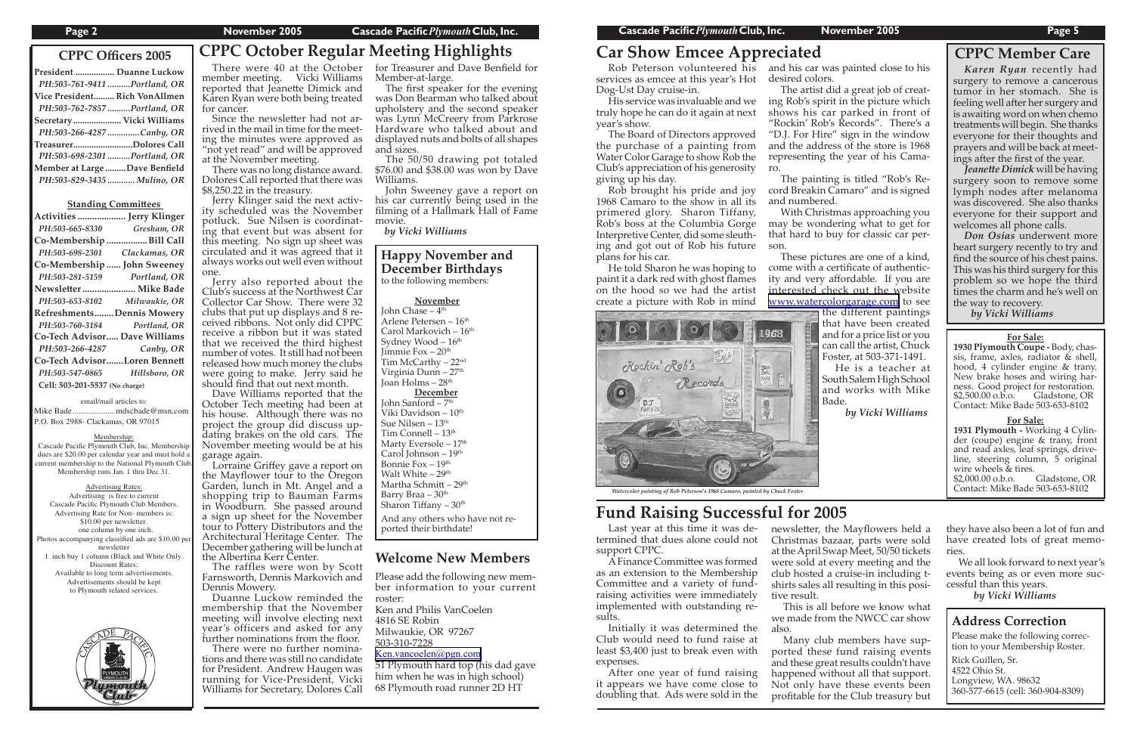Please add the following new mem ber information to your current roster:

Ken and Philis VanCoelen 4816 SE Robin Milwaukie, OR 97267

503-310-7228

#### [Ken.vancoelen@pgn.com](mailto:msitsh@earthlink.net)

51 Plymouth hard top (his dad gave him when he was in high school) 68 Plymouth road runner 2D HT

### **Welcome New Members**

# **CPPC Officers 2005 CPPC October Regular Meeting Highlights**

| President  Duanne Luckow      |  |
|-------------------------------|--|
| PH:503-761-9411 Portland, OR  |  |
| Vice President Rich VonAllmen |  |
| PH:503-762-7857 Portland, OR  |  |
| Secretary Vicki Williams      |  |
| PH:503-266-4287 Canby, OR     |  |
| TreasurerDolores Call         |  |
| PH:503-698-2301 Portland, OR  |  |
| Member at Large Dave Benfield |  |
| PH:503-829-3435  Mulino, OR   |  |
|                               |  |

#### **Standing Committees**

| Activities  Jerry Klinger        |               |
|----------------------------------|---------------|
| PH:503-665-8330                  | Gresham, OR   |
| Co-Membership Bill Call          |               |
| PH:503-698-2301                  | Clackamas, OR |
| Co-Membership  John Sweeney      |               |
| PH:503-281-5159                  | Portland, OR  |
| Newsletter  Mike Bade            |               |
| PH:503-653-8102                  | Milwaukie, OR |
| <b>RefreshmentsDennis Mowery</b> |               |
| PH:503-760-3184                  | Portland, OR  |
| Co-Tech Advisor Dave Williams    |               |
| PH:503-266-4287                  | Canby, OR     |
| Co-Tech AdvisorLoren Bennett     |               |
| PH:503-547-0865                  | Hillsboro, OR |
| Cell: 503-201-5537 (No charge)   |               |
|                                  |               |

for cancer.<br>Since the newsletter had not arrived in the mail in time for the meet-<br>ing the minutes were approved as "not yet read" and will be approved at the November meeting.

email/mail articles to:

#### Mike Bade ......................mdscbade@msn.com P.O. Box 2988- Clackamas, OR 97015

ity scheduled was the November<br>potluck. Sue Nilsen is coordinating that event but was absent for this meeting. No sign up sheet was circulated and it was agreed that it always works out well even without one.

#### Membership:

Cascade Pacific Plymouth Club, Inc. Membership dues are \$20.00 per calendar year and must hold current membership to the National Plymouth Club. Membership runs Jan. 1 thru Dec 31.

#### Advertising Rates:

Advertising is free to current Cascade Pacific Plymouth Club Members. Advertising Rate for Non- members is: \$10.00 per newsletter. one column by one inch. Photos accompanying classified ads are \$10.00 per newsletter 1 inch buy 1 column (Black and White Only. Discount Rates: Available to long term advertisements. Advertisements should be kept to Plymouth related services.



### **CPPC Member Care**

 There were 40 at the October for Treasurer and Dave Benfield for member meeting. Vicki Williams reported that Jeanette Dimick and Karen Ryan were both being treated

 There was no long distance award. Dolores Call reported that there was \$8,250.22 in the treasury.

 Jerry also reported about the Club's success at the Northwest Car Collector Car Show. There were 32 clubs that put up displays and 8 received ribbons. Not only did CPPC receive a ribbon but it was stated that we received the third highest number of votes. It still had not been released how much money the clubs were going to make. Jerry said he should find that out next month.

**December** John Sanford - 7<sup>th</sup> Viki Davidson - 10<sup>th</sup> Sue Nilsen – 13<sup>th</sup> Tim Connell - 13<sup>th</sup> Marty Eversole - 17<sup>th</sup> Carol Johnson - 19th Bonnie Fox – 19th Walt White - 29<sup>th</sup> Martha Schmitt – 29<sup>th</sup> Barry Braa - 30<sup>th</sup> Sharon Tiffany – 30<sup>th</sup>

 Dave Williams reported that the October Tech meeting had been at his house. Although there was no project the group did discuss updating brakes on the old cars. The November meeting would be at his garage again.

Jeanette Dimick will be having surgery soon to remove some lymph nodes after melanoma was discovered. She also thanks everyone for their support and welcomes all phone calls.

 Lorraine Griffey gave a report on the Mayflower tour to the Oregon Garden, lunch in Mt. Angel and a shopping trip to Bauman Farms in Woodburn. She passed around a sign up sheet for the November tour to Pottery Distributors and the Architectural Heritage Center. The December gathering will be lunch at the Albertina Kerr Center.

newsletter, the Mayflowers held a Christmas bazaar, parts were sold at the April Swap Meet, 50/50 tickets were sold at every meeting and the club hosted a cruise-in including tshirts sales all resulting in this positive result.

 The raffles were won by Scott Farnsworth, Dennis Markovich and Dennis Mowery.

 Duanne Luckow reminded the membership that the November meeting will involve electing next year's officers and asked for any further nominations from the floor.

 There were no further nominations and there was still no candidate for President. Andrew Haugen was running for Vice-President, Vicki Williams for Secretary, Dolores Call

Member-at-large.

 The first speaker for the evening was Don Bearman who talked about upholstery and the second speaker was Lynn McCreery from Parkrose Hardware who talked about and displayed nuts and bolts of all shapes and sizes.

 The 50/50 drawing pot totaled \$76.00 and \$38.00 was won by Dave Williams.

 John Sweeney gave a report on his car currently being used in the filming of a Hallmark Hall of Fame movie.

> 1930 Plymouth Coupe - Body, chassis, frame, axles, radiator & shell, hood, 4 cylinder engine & trany. New brake hoses and wiring harness. Good project for restoration. \$2,500.00 o.b.o. Gladstone, OR Contact: Mike Bade 503-653-8102

> **1931 Plymouth -** Working 4 Cylinder (coupe) engine & trany, front and read axles, leaf springs, driveline, steering column, 5 original wire wheels & tires.<br>\$2,000.00 o.b.o. Gladstone, OR

*by Vicki Williams*

 Rob Peterson volunteered his and his car was painted close to his services as emcee at this year's Hot Dog-Ust Day cruise-in.

> $$2,000.00$  o.b.o. Contact: Mike Bade 503-653-8102

 His service was invaluable and we truly hope he can do it again at next year's show.

 The Board of Directors approved the purchase of a painting from Water Color Garage to show Rob the Club's appreciation of his generosity giving up his day.

 Rob brought his pride and joy 1968 Camaro to the show in all its primered glory. Sharon Tiffany, Rob's boss at the Columbia Gorge Interpretive Center, did some sleuthing and got out of Rob his future plans for his car.

 He told Sharon he was hoping to paint it a dark red with ghost flames on the hood so we had the artist create a picture with Rob in mind

# **Car Show Emcee Appreciated**

 Last year at this time it was determined that dues alone could not support CPPC.

 A Finance Commi�ee was formed as an extension to the Membership Committee and a variety of fundraising activities were immediately implemented with outstanding results.

 Initially it was determined the Club would need to fund raise at least \$3,400 just to break even with expenses.

 After one year of fund raising it appears we have come close to doubling that. Ads were sold in the

### **Happy November and December Birthdays**

to the following members:

#### **November**

John Chase –  $4<sup>th</sup>$ Arlene Petersen - 16<sup>th</sup> Carol Markovich - 16<sup>th</sup> Sydney Wood  $-16<sup>th</sup>$ Jimmie Fox – 20<sup>th</sup> Tim McCarthy - 22<sup>nd</sup> Virginia Dunn - 27<sup>th</sup> Joan Holms  $-28<sup>th</sup>$ 

And any others who have not reported their birthdate!

*Karen Ryan* recently had surgery to remove a cancerous tumor in her stomach. She is feeling well after her surgery and is awaiting word on when chemo treatments will begin. She thanks everyone for their thoughts and prayers and will be back at meetings a�er the first of the year.

*Don Osias* underwent more heart surgery recently to try and find the source of his chest pains. This was his third surgery for this problem so we hope the third times the charm and he's well on the way to recovery.

*by Vicki Williams*

 This is all before we know what we made from the NWCC car show also.

 Many club members have supported these fund raising events and these great results couldn't have happened without all that support. Not only have these events been profitable for the Club treasury but



 The artist did a great job of creating Rob's spirit in the picture which shows his car parked in front of "Rockin' Rob's Records". There's a "D.J. For Hire" sign in the window and the address of the store is 1968 representing the year of his Camaro.

 The painting is titled "Rob's Record Breakin Camaro" and is signed and numbered.

 With Christmas approaching you may be wondering what to get for that hard to buy for classic car person.

 These pictures are one of a kind, come with a certificate of authenticity and very affordable. If you are interested check out the website [www.watercolorgarage.com](http://www.watercolorgarage.com) to see the different paintings that have been created and for a price list or you can call the artist, Chuck Foster, at 503-371-1491.

 He is a teacher at South Salem High School and works with Mike Bade.

 *by Vicki Williams*

# **Fund Raising Successful for 2005**

#### **Address Correction**

Please make the following correction to your Membership Roster.

Rick Guillen, Sr. 4522 Ohio St. Longview, WA. 98632 360-577-6615 (cell: 360-904-8309)



they have also been a lot of fun and have created lots of great memories.

 We all look forward to next year's events being as or even more successful than this years.

*by Vicki Williams*

#### **For Sale:**

#### **For Sale:**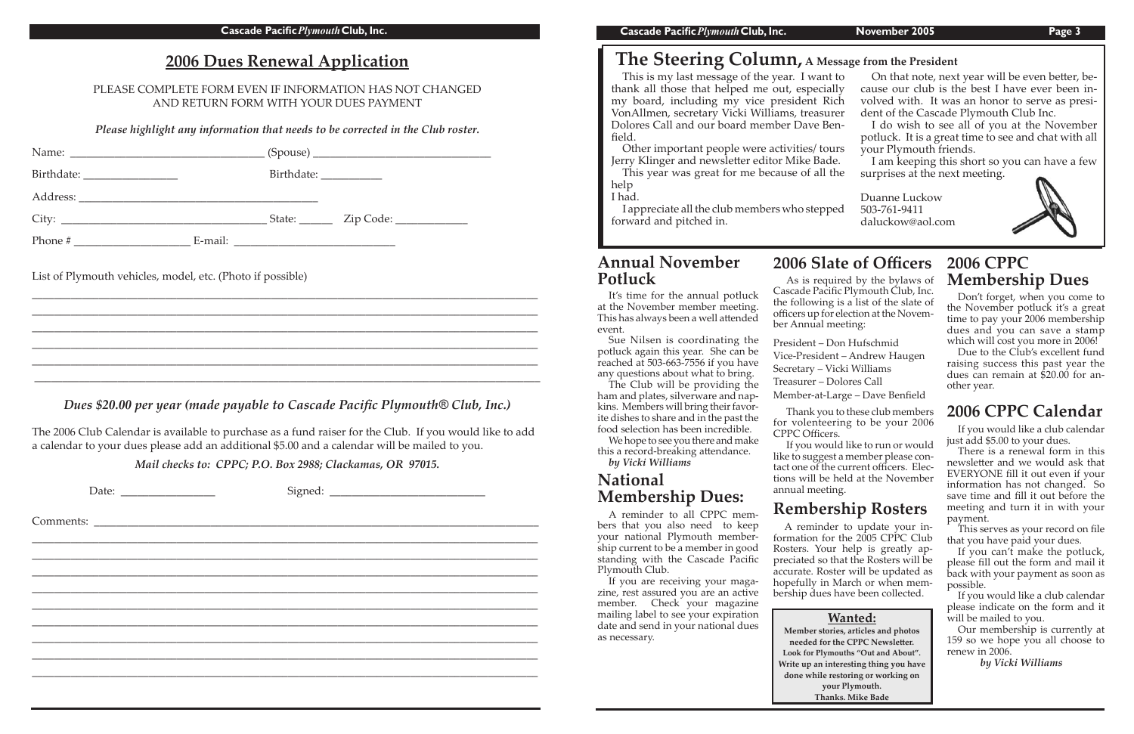### **Annual November Potluck**

Due to the Club's excellent fund raising success this past year the dues can remain at \$20.00 for another year.

 Don't forget, when you come to the November potluck it's a great time to pay your 2006 membership dues and you can save a stamp which will cost you more in 2006!

# **2006 CPPC Calendar**

 If you would like a club calendar just add \$5.00 to your dues.

 There is a renewal form in this newsletter and we would ask that EVERYONE fill it out even if your information has not changed. So save time and fill it out before the meeting and turn it in with your payment.

 This serves as your record on file that you have paid your dues.

 We hope to see you there and make this a record-breaking attendance.

> If you can't make the potluck, please fill out the form and mail it back with your payment as soon as possible.

> If you would like a club calendar please indicate on the form and it will be mailed to you.

|         |         | State: $\_\_$ Zip Code: $\_\_$ |
|---------|---------|--------------------------------|
| Phone # | E-mail: |                                |

 Our membership is currently at 159 so we hope you all choose to renew in 2006.

 *by Vicki Williams*

 As is required by the bylaws of Cascade Pacific Plymouth Club, Inc. the following is a list of the slate of officers up for election at the November Annual meeting:

President – Don Hufschmid Vice-President – Andrew Haugen Secretary – Vicki Williams Treasurer – Dolores Call Member-at-Large – Dave Benfield

Thank you to these club members for volenteering to be your 2006 CPPC Officers.

 If you would like to run or would like to suggest a member please contact one of the current officers. Elections will be held at the November annual meeting.

It's time for the annual potluck at the November member meeting. This has always been a well attended event.

 Sue Nilsen is coordinating the potluck again this year. She can be reached at 503-663-7556 if you have any questions about what to bring.

 The Club will be providing the ham and plates, silverware and napkins. Members will bring their favorite dishes to share and in the past the food selection has been incredible.

*by Vicki Williams*

thank all those that helped me out, especially my board, including my vice president Rich volved with. VonAllmen, secretary Vicki Williams, treasurer dent of the Ca Dolores Call and our board member Dave Ben-<br>C<sub>111</sub> do wish t This is my last message of the year. I want field.

Other important people were activities/ tours your Ply. Jerry Klinger and newsletter editor Mike Bade. I am keepin

# **2006 Dues Renewal Application**

PLEASE COMPLETE FORM EVEN IF INFORMATION HAS NOT CHANGED AND RETURN FORM WITH YOUR DUES PAYMENT

> This year was great for me because of all the surprises at the help

> اس سے بہت<br>I appreciate all the club members who stepped 503-761-9411 forward and pitched in.

*Please highlight any information that needs to be corrected in the Club roster.*

| On that note, next year will be even better, be-     |  |
|------------------------------------------------------|--|
| cause our club is the best I have ever been in-      |  |
| volved with. It was an honor to serve as presi-      |  |
| dent of the Cascade Plymouth Club Inc.               |  |
| I do wish to see all of you at the November          |  |
| potluck. It is a great time to see and chat with all |  |
| your Plymouth friends.                               |  |
| I am keeping this short so you can have a few        |  |
| surprises at the next meeting.                       |  |
|                                                      |  |
| Duanne Luckow                                        |  |
|                                                      |  |

List of Plymouth vehicles, model, etc. (Photo if possible)

If you are receiving your magazine, rest assured you are an active member. Check your magazine mailing label to see your expiration date and send in your national dues as necessary.

\_\_\_\_\_\_\_\_\_\_\_\_\_\_\_\_\_\_\_\_\_\_\_\_\_\_\_\_\_\_\_\_\_\_\_\_\_\_\_\_\_\_\_\_\_\_\_\_\_\_\_\_\_\_\_\_\_\_\_\_\_\_\_\_\_\_\_\_\_\_\_\_\_\_\_\_\_\_\_\_\_\_\_\_\_\_\_\_\_\_\_ \_\_\_\_\_\_\_\_\_\_\_\_\_\_\_\_\_\_\_\_\_\_\_\_\_\_\_\_\_\_\_\_\_\_\_\_\_\_\_\_\_\_\_\_\_\_\_\_\_\_\_\_\_\_\_\_\_\_\_\_\_\_\_\_\_\_\_\_\_\_\_\_\_\_\_\_\_\_\_\_\_\_\_\_\_\_\_\_\_\_\_ \_\_\_\_\_\_\_\_\_\_\_\_\_\_\_\_\_\_\_\_\_\_\_\_\_\_\_\_\_\_\_\_\_\_\_\_\_\_\_\_\_\_\_\_\_\_\_\_\_\_\_\_\_\_\_\_\_\_\_\_\_\_\_\_\_\_\_\_\_\_\_\_\_\_\_\_\_\_\_\_\_\_\_\_\_\_\_\_\_\_\_ \_\_\_\_\_\_\_\_\_\_\_\_\_\_\_\_\_\_\_\_\_\_\_\_\_\_\_\_\_\_\_\_\_\_\_\_\_\_\_\_\_\_\_\_\_\_\_\_\_\_\_\_\_\_\_\_\_\_\_\_\_\_\_\_\_\_\_\_\_\_\_\_\_\_\_\_\_\_\_\_\_\_\_\_\_\_\_\_\_\_\_ \_\_\_\_\_\_\_\_\_\_\_\_\_\_\_\_\_\_\_\_\_\_\_\_\_\_\_\_\_\_\_\_\_\_\_\_\_\_\_\_\_\_\_\_\_\_\_\_\_\_\_\_\_\_\_\_\_\_\_\_\_\_\_\_\_\_\_\_\_\_\_\_\_\_\_\_\_\_\_\_\_\_\_\_\_\_\_\_\_\_\_ \_\_\_\_\_\_\_\_\_\_\_\_\_\_\_\_\_\_\_\_\_\_\_\_\_\_\_\_\_\_\_\_\_\_\_\_\_\_\_\_\_\_\_\_\_\_\_\_\_\_\_\_\_\_\_\_\_\_\_\_\_\_\_\_\_\_\_\_\_\_\_\_\_\_\_\_\_\_\_\_\_\_\_\_\_\_\_\_\_\_\_

### *Dues \$20.00 per year (made payable to Cascade Pacific Plymouth® Club, Inc.)*

The 2006 Club Calendar is available to purchase as a fund raiser for the Club. If you would like to add a calendar to your dues please add an additional \$5.00 and a calendar will be mailed to you. 

*Mail checks to: CPPC; P.O. Box 2988; Clackamas, OR 97015.* 

Date: \_\_\_\_\_\_\_\_\_\_\_\_\_\_\_\_\_ Signed: \_\_\_\_\_\_\_\_\_\_\_\_\_\_\_\_\_\_\_\_\_\_\_\_\_\_\_\_

Comments:

# **The Steering Column, A Message from the President**

\_\_\_\_\_\_\_\_\_\_\_\_\_\_\_\_\_\_\_\_\_\_\_\_\_\_\_\_\_\_\_\_\_\_\_\_\_\_\_\_\_\_\_\_\_\_\_\_\_\_\_\_\_\_\_\_\_\_\_\_\_\_\_\_\_\_\_\_\_\_\_\_\_\_\_\_\_\_\_\_\_\_\_\_\_\_\_\_\_\_\_ \_\_\_\_\_\_\_\_\_\_\_\_\_\_\_\_\_\_\_\_\_\_\_\_\_\_\_\_\_\_\_\_\_\_\_\_\_\_\_\_\_\_\_\_\_\_\_\_\_\_\_\_\_\_\_\_\_\_\_\_\_\_\_\_\_\_\_\_\_\_\_\_\_\_\_\_\_\_\_\_\_\_\_\_\_\_\_\_\_\_\_ \_\_\_\_\_\_\_\_\_\_\_\_\_\_\_\_\_\_\_\_\_\_\_\_\_\_\_\_\_\_\_\_\_\_\_\_\_\_\_\_\_\_\_\_\_\_\_\_\_\_\_\_\_\_\_\_\_\_\_\_\_\_\_\_\_\_\_\_\_\_\_\_\_\_\_\_\_\_\_\_\_\_\_\_\_\_\_\_\_\_\_ \_\_\_\_\_\_\_\_\_\_\_\_\_\_\_\_\_\_\_\_\_\_\_\_\_\_\_\_\_\_\_\_\_\_\_\_\_\_\_\_\_\_\_\_\_\_\_\_\_\_\_\_\_\_\_\_\_\_\_\_\_\_\_\_\_\_\_\_\_\_\_\_\_\_\_\_\_\_\_\_\_\_\_\_\_\_\_\_\_\_\_ \_\_\_\_\_\_\_\_\_\_\_\_\_\_\_\_\_\_\_\_\_\_\_\_\_\_\_\_\_\_\_\_\_\_\_\_\_\_\_\_\_\_\_\_\_\_\_\_\_\_\_\_\_\_\_\_\_\_\_\_\_\_\_\_\_\_\_\_\_\_\_\_\_\_\_\_\_\_\_\_\_\_\_\_\_\_\_\_\_\_\_ \_\_\_\_\_\_\_\_\_\_\_\_\_\_\_\_\_\_\_\_\_\_\_\_\_\_\_\_\_\_\_\_\_\_\_\_\_\_\_\_\_\_\_\_\_\_\_\_\_\_\_\_\_\_\_\_\_\_\_\_\_\_\_\_\_\_\_\_\_\_\_\_\_\_\_\_\_\_\_\_\_\_\_\_\_\_\_\_\_\_\_ \_\_\_\_\_\_\_\_\_\_\_\_\_\_\_\_\_\_\_\_\_\_\_\_\_\_\_\_\_\_\_\_\_\_\_\_\_\_\_\_\_\_\_\_\_\_\_\_\_\_\_\_\_\_\_\_\_\_\_\_\_\_\_\_\_\_\_\_\_\_\_\_\_\_\_\_\_\_\_\_\_\_\_\_\_\_\_\_\_\_\_ \_\_\_\_\_\_\_\_\_\_\_\_\_\_\_\_\_\_\_\_\_\_\_\_\_\_\_\_\_\_\_\_\_\_\_\_\_\_\_\_\_\_\_\_\_\_\_\_\_\_\_\_\_\_\_\_\_\_\_\_\_\_\_\_\_\_\_\_\_\_\_\_\_\_\_\_\_\_\_\_\_\_\_\_\_\_\_\_\_\_\_ \_\_\_\_\_\_\_\_\_\_\_\_\_\_\_\_\_\_\_\_\_\_\_\_\_\_\_\_\_\_\_\_\_\_\_\_\_\_\_\_\_\_\_\_\_\_\_\_\_\_\_\_\_\_\_\_\_\_\_\_\_\_\_\_\_\_\_\_\_\_\_\_\_\_\_\_\_\_\_\_\_\_\_\_\_\_\_\_\_\_\_ I had.

# **2006 CPPC Membership Dues**

# **2006 Slate of Officers**

503-761-9411 daluckow@aol.com



# **Rembership Rosters**

 A reminder to update your information for the 2005 CPPC Club Rosters. Your help is greatly appreciated so that the Rosters will be accurate. Roster will be updated as hopefully in March or when membership dues have been collected.

# **National Membership Dues:**

 A reminder to all CPPC members that you also need to keep your national Plymouth membership current to be a member in good standing with the Cascade Pacific Plymouth Club.

### **Wanted:**

**Member stories, articles and photos needed for the CPPC Newsle�er. Look for Plymouths "Out and About". Write up an interesting thing you have done while restoring or working on your Plymouth. Thanks. Mike Bade**